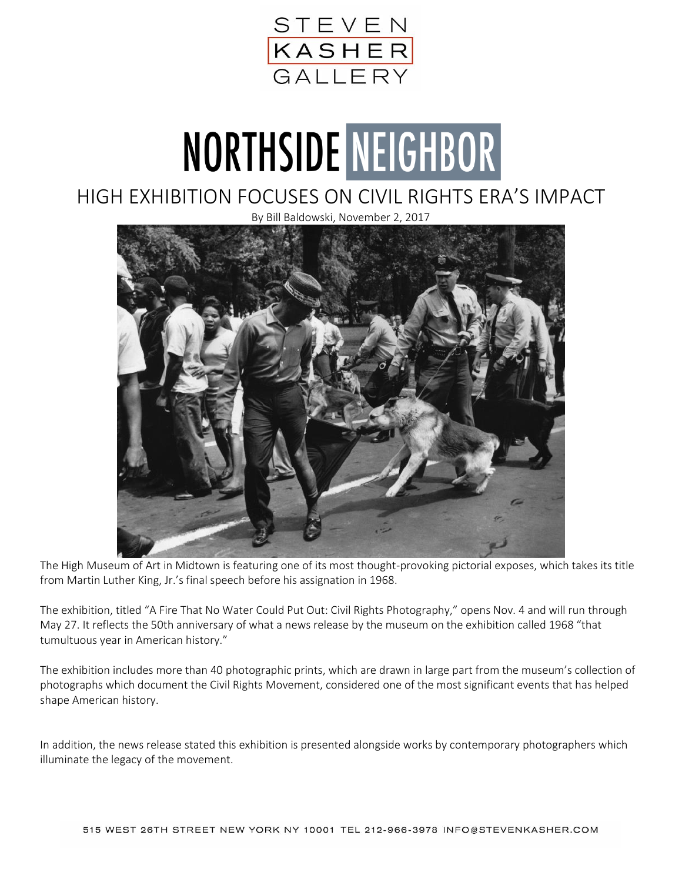

## NORTHSIDE NEIGHBOR

## HIGH EXHIBITION FOCUSES ON CIVIL RIGHTS ERA'S IMPACT

By Bill Baldowski, November 2, 2017



The High Museum of Art in Midtown is featuring one of its most thought-provoking pictorial exposes, which takes its title from Martin Luther King, Jr.'s final speech before his assignation in 1968.

The exhibition, titled "A Fire That No Water Could Put Out: Civil Rights Photography," opens Nov. 4 and will run through May 27. It reflects the 50th anniversary of what a news release by the museum on the exhibition called 1968 "that tumultuous year in American history."

The exhibition includes more than 40 photographic prints, which are drawn in large part from the museum's collection of photographs which document the Civil Rights Movement, considered one of the most significant events that has helped shape American history.

In addition, the news release stated this exhibition is presented alongside works by contemporary photographers which illuminate the legacy of the movement.